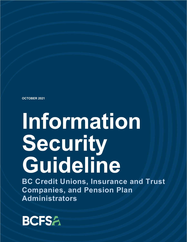**OCTOBER 2021**

# **Information Security Guideline**

**BC Credit Unions, Insurance and Trust Companies, and Pension Plan Administrators** 

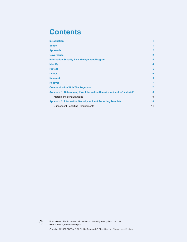#### **Contents**

| <b>Introduction</b>                                                       | 1              |
|---------------------------------------------------------------------------|----------------|
| <b>Scope</b>                                                              | 1              |
| <b>Approach</b>                                                           | $\overline{2}$ |
| <b>Governance</b>                                                         | $\overline{2}$ |
| <b>Information Security Risk Management Program</b>                       | 4              |
| <b>Identify</b>                                                           | 4              |
| <b>Protect</b>                                                            | 5              |
| <b>Detect</b>                                                             | 6              |
| <b>Respond</b>                                                            | 6              |
| <b>Recover</b>                                                            | 7              |
| <b>Communication With The Regulator</b>                                   |                |
| Appendix 1: Determining If An Information Security Incident Is "Material" |                |
| <b>Material Incident Examples</b>                                         | 9              |
| <b>Appendix 2: Information Security Incident Reporting Template</b>       |                |
| <b>Subsequent Reporting Requirements</b>                                  |                |



Production of this document included environmentally friendly best practices. Please reduce, reuse and recycle.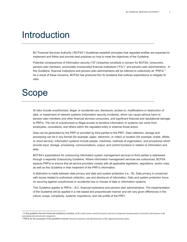#### <span id="page-2-0"></span>Introduction

BC Financial Services Authority ("BCFSA") Guidelines establish principles that regulated entities are expected to implement and follow and provide best practices on how to meet the objectives of the Guideline.

Potential consequences of information security ("IS") breaches constitute a concern for BCFSA, consumers, pension plan members, provincially incorporated financial institutions ("FIs")[1](#page-2-2) and pension plan administrators. In this Guideline, financial institutions and pension plan administrators will be referred to collectively as "PRFIs"[2.](#page-2-3) As a result of these concerns, BCFSA has produced this IS Guideline that outlines expectations to mitigate IS risks.

#### <span id="page-2-1"></span>Scope

IS risks include unauthorized, illegal, or accidental use, disclosure, access to, modifications or destruction of data, or impairment of network systems (information security incidents), which can cause serious harm to pension plan members and other financial services consumers, and significant financial and reputational damage to PRFIs. The risk of unauthorized or illegal access to sensitive information or systems can come from employees, consultants, and others within the regulated entity or external threat actors.

Data can be generated by the PRFI or provided by third parties to the PRFI. Data collection, storage and processing can be in any format (for example; paper, electronic, or video) or location (for example; onsite, offsite, or cloud service). Information systems include people, machines, methods of organization, and procedures which provide input, storage, processing, communications, output, and control functions in relation to information and data.

BCFSA's expectations for outsourcing information system management services to third parties is addressed through a separate Outsourcing Guideline. Where information management services are outsourced, BCFSA expects PRFIs to ensure that all service providers comply with all applicable legislation, regulations, and/or rules, as well as this Guideline in their treatment of the PRFI's information.

A distinction is made between data privacy and data and system protection (i.e., IS). Data privacy is concerned with issues related to authorized collection, use and disclosure of information. Data and system protection focus on securing against unauthorized or accidental loss or misuse of data or information systems.

This Guideline applies to PRFIs – B.C. financial institutions and pension plan administrators. The implementation of the Guideline will be applied in a risk-based and proportionate manner and will vary given differences in the nature, scope, complexity, systemic importance, and risk profile of the PRFI.

<span id="page-2-2"></span><sup>1</sup> In this guideline the term financial institutions includes; (i) BC credit unions and (ii) insurance and trust companies incorporated or licensed to do business in BC (excluding extra provincial companies)

<span id="page-2-3"></span> $2$  PRFIs for the purposes of this guideline include financial institution and administrators of BC registered pension plans.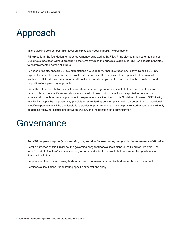### <span id="page-3-0"></span>Approach

This Guideline sets out both high level principles and specific BCFSA expectations.

Principles form the foundation for good governance expected by BCFSA. Principles communicate the spirit of BCFSA's expectation without prescribing the form by which the principle is achieved. BCFSA expects principles to be implemented across all PRFIs.

For each principle, specific BCFSA expectations are used for further illustration and clarity. Specific BCFSA expectations are the procedures and practices<sup>[3](#page-3-2)</sup> that achieve the objective of each principle. For financial institutions, BCFSA may recommend additional IS actions be implemented consistent with a risk-based and proportionate supervisory approach.

Given the differences between institutional structures and legislation applicable to financial institutions and pension plans, the specific expectations associated with each principle will not be applied to pension plan administrators, unless pension plan specific expectations are identified in this Guideline. However, BCFSA will, as with FIs, apply the proportionality principle when reviewing pension plans and may determine that additional specific expectations will be applicable for a particular plan. Additional pension plan related expectations will only be applied following discussions between BCFSA and the pension plan administrator.

#### <span id="page-3-1"></span>Governance

#### *The PRFI's governing body is ultimately responsible for overseeing the prudent management of IS risks.*

For the purposes of this Guideline, the governing body for financial institutions is the Board of Directors. The term "Board of Directors" also includes any group or individual who would hold a comparative position in a financial institution.

For pension plans, the governing body would be the administrator established under the plan documents.

For financial institutions, the following specific expectations apply.

<span id="page-3-2"></span><sup>&</sup>lt;sup>3</sup> Procedures operationalize policies. Practices are detailed instructions.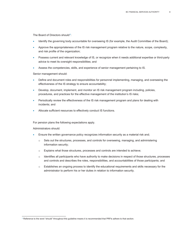The Board of Directors should<sup>[4](#page-4-0)</sup>:

- Identify the governing body accountable for overseeing IS (for example, the Audit Committee of the Board);
- Approve the appropriateness of the IS risk management program relative to the nature, scope, complexity, and risk profile of the organization;
- Possess current and relevant knowledge of IS, or recognize when it needs additional expertise or third-party advice to meet its oversight responsibilities; and
- Assess the competencies, skills, and experience of senior management pertaining to IS.

Senior management should:

- Define and document roles and responsibilities for personnel implementing, managing, and overseeing the effectiveness of the IS strategy to ensure accountability;
- Develop, document, implement, and monitor an IS risk management program including, policies, procedures, and practices for the effective management of the institution's IS risks;
- Periodically review the effectiveness of the IS risk management program and plans for dealing with incidents; and
- Allocate sufficient resources to effectively conduct IS functions.

For pension plans the following expectations apply.

Administrators should:

- Ensure the written governance policy recognizes information security as a material risk and;
	- $\circ$  Sets out the structures, processes, and controls for overseeing, managing, and administering information security;
	- o Explains what those structures, processes and controls are intended to achieve;
	- o Identifies all participants who have authority to make decisions in respect of those structures, processes and controls and describes the roles, responsibilities, and accountabilities of those participants; and
	- o Establishes an ongoing process to identify the educational requirements and skills necessary for the administrator to perform his or her duties in relation to information security.

<span id="page-4-0"></span><sup>&</sup>lt;sup>4</sup> Reference to the word "should" throughout this guideline means it is recommended that PRFIs adhere to that section.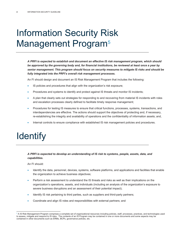### <span id="page-5-0"></span>Information Security Risk Management Program<sup>[5](#page-5-2)</sup>

*A PRFI is expected to establish and document an effective IS risk management program, which should be approved by the governing body and, for financial institutions, be reviewed at least once a year by senior management. This program should focus on security measures to mitigate IS risks and should be fully integrated into the PRFI's overall risk management processes.*

An FI should design and document an IS Risk Management Program that includes the following:

- IS policies and procedures that align with the organization's risk exposure;
- Procedures and systems to identify and protect against IS threats and monitor IS incidents;
- A plan that clearly sets out strategies for responding to and recovering from material IS incidents with roles and escalation processes clearly defined to facilitate timely response management;
- Procedures for testing IS measures to ensure that critical functions, processes, systems, transactions, and interdependencies are effective. The actions should support the objectives of protecting and, if necessary, re-establishing the integrity and availability of operations and the confidentiality of information assets; and,
- Internal controls to ensure compliance with established IS risk management policies and procedures.

### <span id="page-5-1"></span>**Identify**

#### *A PRFI is expected to develop an understanding of IS risk to systems, people, assets, data, and capabilities.*

An FI should:

- Identify the data, personnel, devices, systems, software platforms, and applications and facilities that enable the organization to achieve business objectives;
- Perform a risk assessment to understand the IS threats and risks as well as their implications on the organization's operations, assets, and individuals (including an analysis of the organization's exposure to severe business disruptions and an assessment of their potential impact);
- Identify IS risk pertaining to third parties, such as suppliers and third-party partners;
- Coordinate and align IS roles and responsibilities with external partners; and

<span id="page-5-2"></span> $^5$  A IS Risk Management Program comprises a complete set of organizational resources including policies, staff, processes, practices, and technologies used to assess, mitigate and respond to IS risks. The contents of an IS Program may be contained in one or more documents and some aspects may be contained in other documents such as ERMs, BCPs, governance policies, etc.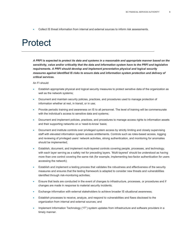• Collect IS threat information from internal and external sources to inform risk assessments.

#### <span id="page-6-0"></span>Protect

*A PRFI is expected to protect its data and systems in a reasonable and appropriate manner based on the sensitivity, value and/or criticality that the data and information system have to the PRFI and legislative requirements. A PRFI should develop and implement preventative physical and logical security measures against identified IS risks to ensure data and information system protection and delivery of critical services***.**

An FI should:

- Establish appropriate physical and logical security measures to protect sensitive data of the organization as well as the network systems;
- Document and maintain security policies, practices, and procedures used to manage protection of information whether at rest, in transit, or in use;
- Provide periodic training and awareness on IS to all personnel. The level of training will be commensurate with the individual's access to sensitive data and systems;
- Document and implement policies, practices, and procedures to manage access rights to information assets and their supporting networks on a 'need-to-know' basis;
- Document and institute controls over privileged system access by strictly limiting and closely supervising staff with elevated information system access entitlements. Controls such as roles-based access, logging and reviewing of privileged users' network activities, strong authentication, and monitoring for anomalies should be implemented;
- Establish, document, and implement multi-layered controls covering people, processes, and technology, with each layer serving as a safety net for preceding layers. 'Multi-layered' should be understood as having more than one control covering the same risk (for example, implementing two-factor authentication for users accessing the network);
- Establish and implement a testing process that validates the robustness and effectiveness of the security measures and ensures that the testing framework is adapted to consider new threats and vulnerabilities identified through risk-monitoring activities;
- Ensure that tests are conducted in the event of changes to infrastructure, processes, or procedures and if changes are made in response to material security incidents;
- Exchange information with external stakeholders to achieve broader IS situational awareness;
- Establish processes to receive, analyze, and respond to vulnerabilities and flaws disclosed to the organization from internal and external sources; and
- Implement Information Technology ("IT") system updates from infrastructure and software providers in a timely manner.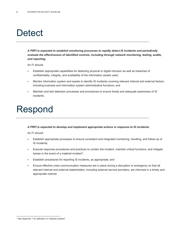### <span id="page-7-0"></span>**Detect**

*A PRFI is expected to establish monitoring processes to rapidly detect IS incidents and periodically evaluate the effectiveness of identified controls, including through network monitoring, testing, audits, and reporting.*

An FI should:

- Establish appropriate capabilities for detecting physical or digital intrusion as well as breaches of confidentiality, integrity, and availability of the information assets used;
- Monitor information system and assets to identify IS incidents covering relevant internal and external factors, including business and information system administrative functions; and
- Maintain and test detection processes and procedures to ensure timely and adequate awareness of IS incidents.

#### <span id="page-7-1"></span>Respond

#### *A PRFI is expected to develop and implement appropriate actions in response to IS incidents.*

An FI should:

- Establish appropriate processes to ensure consistent and integrated monitoring, handling, and follow-up of IS incidents;
- Execute response procedures and practices to contain the incident, maintain critical functions, and mitigate losses in the event of a material incident<sup>6</sup>;
- Establish procedures for reporting IS incidents, as appropriate; and
- <span id="page-7-2"></span>• Ensure effective crisis communication measures are in place during a disruption or emergency so that all relevant internal and external stakeholders, including external service providers, are informed in a timely and appropriate manner.

<span id="page-7-3"></span><sup>&</sup>lt;sup>6</sup> See Appendix 1 for definition of "material incident"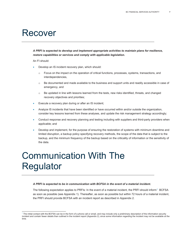#### Recover

*A PRFI is expected to develop and implement appropriate activities to maintain plans for resilience, restore capabilities or services and comply with applicable legislation.*

An FI should:

- Develop an IS incident recovery plan, which should:
	- $\circ$  Focus on the impact on the operation of critical functions, processes, systems, transactions, and interdependencies,
	- $\circ$  Be documented and made available to the business and support units and readily accessible in case of emergency, and
	- $\circ$  Be updated in line with lessons learned from the tests, new risks identified, threats, and changed recovery objectives and priorities;
- Execute a recovery plan during or after an IS incident;
- Analyze IS incidents that have been identified or have occurred within and/or outside the organization, consider key lessons learned from these analyses, and update the risk management strategy accordingly;
- Conduct response and recovery planning and testing including with suppliers and third-party providers when applicable; and
- Develop and implement, for the purpose of ensuring the restoration of systems with minimum downtime and limited disruption, a backup policy specifying recovery methods, the scope of the data that is subject to the backup, and the minimum frequency of the backup based on the criticality of information or the sensitivity of the data.

### <span id="page-8-0"></span>Communication With The Regulator

#### *A PRFI is expected to be in communication with BCFSA in the event of a material incident.*

The following expectation applies to PRFIs: In the event of a material incident, the PRFI should inform<sup>7</sup> BCFSA as soon as possible (see Appendix 1). Thereafter, as soon as possible but within 72 hours of a material incident, the PRFI should provide BCFSA with an incident report as described in Appendix 2.

<span id="page-8-1"></span> $7$  The initial contact with the BCFSA can be in the form of a phone call or email, and may include only a preliminary description of the information security incident and contain fewer details than outlined in the incident report (Appendix 2), since some information regarding the incident may not be available at the time.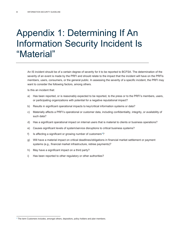### <span id="page-9-0"></span>Appendix 1: Determining If An Information Security Incident Is "Material"

An IS incident should be of a certain degree of severity for it to be reported to BCFSA. The determination of the severity of an event is made by the PRFI and should relate to the impact that the incident will have on the PRFIs members, users, consumers, or the general public. In assessing the severity of a specific incident, the PRFI may want to consider the following factors, among others.

Is this an incident that:

- a) Has been reported, or is reasonably expected to be reported, to the press or to the PRFI's members, users, or participating organizations with potential for a negative reputational impact?
- b) Results in significant operational impacts to key/critical information systems or data?
- c) Materially affects a PRFI's operational or customer data, including confidentiality, integrity, or availability of such data?
- d) Has a significant operational impact on internal users that is material to clients or business operations?
- e) Causes significant levels of system/service disruptions to critical business systems?
- f) Is affecting a significant or growing number of customers<sup>8</sup>?
- g) Will have a material impact on critical deadlines/obligations in financial market settlement or payment systems (e.g., financial market infrastructure, retiree payments)?
- h) May have a significant impact on a third party?
- <span id="page-9-1"></span>i) Has been reported to other regulatory or other authorities?

<span id="page-9-2"></span><sup>8</sup> The term Customers includes, amongst others, depositors, policy holders and plan members.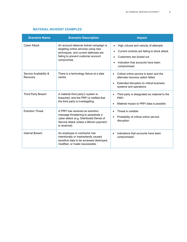<span id="page-10-0"></span>

| <b>Scenario Name</b>               | <b>Scenario Description</b>                                                                                                                                                    | <b>Impact</b>                                                                                                                                                                                                             |
|------------------------------------|--------------------------------------------------------------------------------------------------------------------------------------------------------------------------------|---------------------------------------------------------------------------------------------------------------------------------------------------------------------------------------------------------------------------|
| <b>Cyber Attack</b>                | An account takeover botnet campaign is<br>targeting online services using new<br>techniques, and current defenses are<br>failing to prevent customer account<br>compromise.    | High volume and velocity of attempts<br>$\bullet$<br>Current controls are failing to block attack<br>$\bullet$<br>Customers are locked out<br>$\bullet$<br>Indication that accounts have been<br>$\bullet$<br>compromised |
| Service Availability &<br>Recovery | There is a technology failure at a data<br>centre.                                                                                                                             | Critical online service is down and the<br>alternate recovery option failed<br>Extended disruption to critical business<br>systems and operations                                                                         |
| Third Party Breach                 | A material third party's system is<br>breached, and the PRFI is notified that<br>the third party is investigating.                                                             | Third party is designated as material to the<br><b>PRFI</b><br>Material impact to PRFI data is possible                                                                                                                   |
| <b>Extortion Threat</b>            | A PRFI has received an extortion<br>message threatening to perpetrate a<br>cyber-attack (e.g. Distributed Denial of<br>Service attack unless a Bitcoin payment<br>is received) | Threat is credible<br>$\bullet$<br>Probability of critical online service<br>disruption                                                                                                                                   |
| Internal Breach                    | An employee or contractor has<br>intentionally or inadvertently caused<br>sensitive data to be accessed destroyed,<br>modified, or made inaccessible.                          | Indications that accounts have been<br>compromised.                                                                                                                                                                       |

#### **MATERIAL INCIDENT EXAMPLES**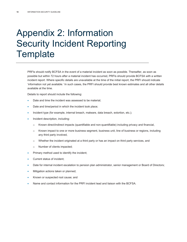### Appendix 2: Information Security Incident Reporting **Template**

PRFIs should notify BCFSA in the event of a material incident as soon as possible. Thereafter, as soon as possible but within 72 hours after a material incident has occurred, PRFIs should provide BCFSA with a written incident report. Where specific details are unavailable at the time of the initial report, the PRFI should indicate 'information not yet available.' In such cases, the PRFI should provide best known estimates and all other details available at the time.

Details to report should include the following:

- Date and time the incident was assessed to be material;
- Date and time/period in which the incident took place;
- Incident type (for example, internal breach, malware, data breach, extortion, etc.);
- Incident description, including:
	- o Known direct/indirect impacts (quantifiable and non-quantifiable) including privacy and financial,
	- o Known impact to one or more business segment, business unit, line of business or regions, including any third party involved,
	- o Whether the incident originated at a third party or has an impact on third party services, and
	- o Number of clients impacted;
- Primary method used to identify the incident;
- Current status of incident;
- Date for internal incident escalation to pension plan administrator, senior management or Board of Directors;
- Mitigation actions taken or planned;
- Known or suspected root cause; and
- <span id="page-11-0"></span>• Name and contact information for the PRFI incident lead and liaison with the BCFSA.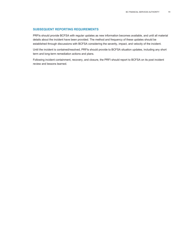#### **SUBSEQUENT REPORTING REQUIREMENTS**

PRFIs should provide BCFSA with regular updates as new information becomes available, and until all material details about the incident have been provided. The method and frequency of these updates should be established through discussions with BCFSA considering the severity, impact, and velocity of the incident.

Until the incident is contained/resolved, PRFIs should provide to BCFSA situation updates, including any short term and long-term remediation actions and plans.

Following incident containment, recovery, and closure, the PRFI should report to BCFSA on its post incident review and lessons learned.